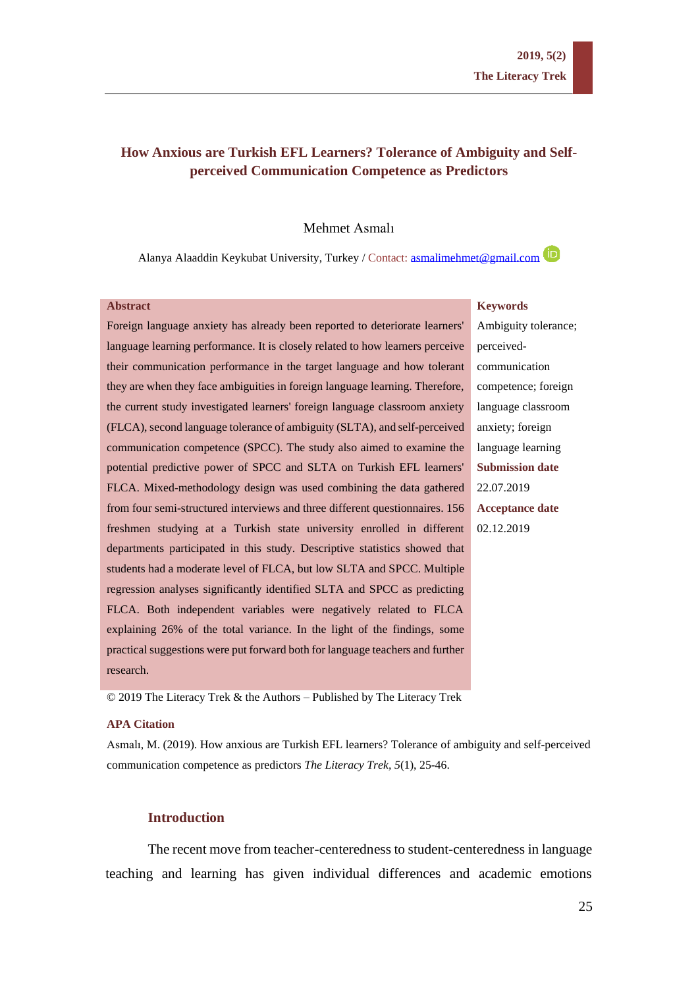# **How Anxious are Turkish EFL Learners? Tolerance of Ambiguity and Selfperceived Communication Competence as Predictors**

### Mehmet Asmalı

Alanya Alaaddin Keykubat University, Turkey / Contact: [asmalimehmet@gmail.com](mailto:asmalimehmet@gmail.com)

#### **Abstract**

# **Keywords**

Foreign language anxiety has already been reported to deteriorate learners' language learning performance. It is closely related to how learners perceive their communication performance in the target language and how tolerant they are when they face ambiguities in foreign language learning. Therefore, the current study investigated learners' foreign language classroom anxiety (FLCA), second language tolerance of ambiguity (SLTA), and self-perceived communication competence (SPCC). The study also aimed to examine the potential predictive power of SPCC and SLTA on Turkish EFL learners' FLCA. Mixed-methodology design was used combining the data gathered from four semi-structured interviews and three different questionnaires. 156 freshmen studying at a Turkish state university enrolled in different departments participated in this study. Descriptive statistics showed that students had a moderate level of FLCA, but low SLTA and SPCC. Multiple regression analyses significantly identified SLTA and SPCC as predicting FLCA. Both independent variables were negatively related to FLCA explaining 26% of the total variance. In the light of the findings, some practical suggestions were put forward both for language teachers and further research.

Ambiguity tolerance; perceivedcommunication competence; foreign language classroom anxiety; foreign language learning **Submission date** 22.07.2019 **Acceptance date** 02.12.2019

© 2019 The Literacy Trek & the Authors – Published by The Literacy Trek

#### **APA Citation**

Asmalı, M. (2019). How anxious are Turkish EFL learners? Tolerance of ambiguity and self-perceived communication competence as predictors *The Literacy Trek, 5*(1), 25-46.

# **Introduction**

The recent move from teacher-centeredness to student-centeredness in language teaching and learning has given individual differences and academic emotions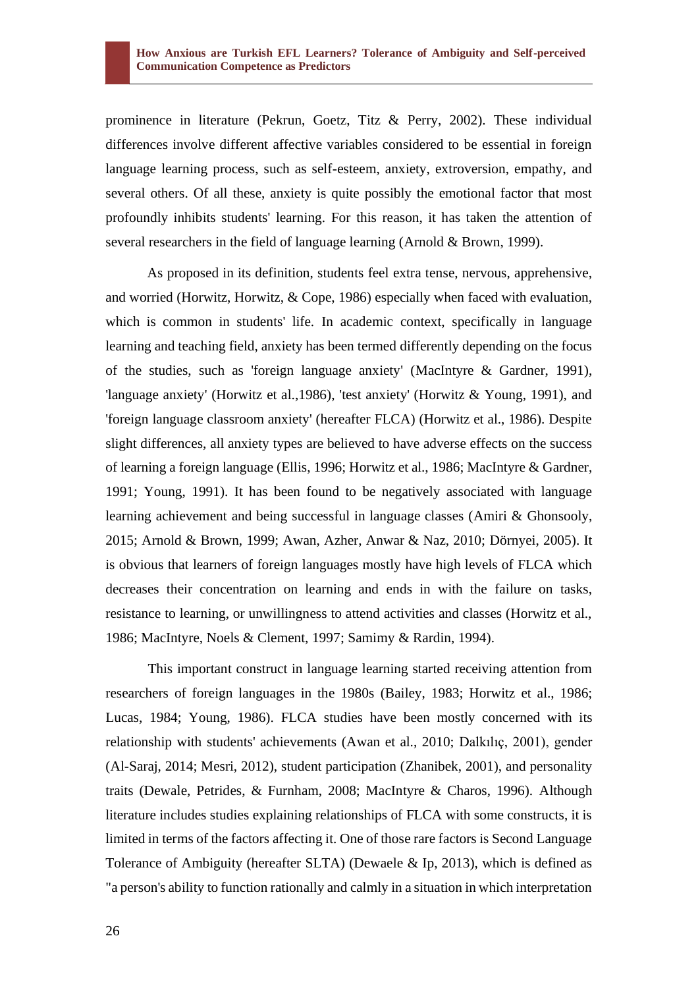prominence in literature (Pekrun, Goetz, Titz & Perry, 2002). These individual differences involve different affective variables considered to be essential in foreign language learning process, such as self-esteem, anxiety, extroversion, empathy, and several others. Of all these, anxiety is quite possibly the emotional factor that most profoundly inhibits students' learning. For this reason, it has taken the attention of several researchers in the field of language learning (Arnold & Brown, 1999).

As proposed in its definition, students feel extra tense, nervous, apprehensive, and worried (Horwitz, Horwitz, & Cope, 1986) especially when faced with evaluation, which is common in students' life. In academic context, specifically in language learning and teaching field, anxiety has been termed differently depending on the focus of the studies, such as 'foreign language anxiety' (MacIntyre & Gardner, 1991), 'language anxiety' (Horwitz et al.,1986), 'test anxiety' (Horwitz & Young, 1991), and 'foreign language classroom anxiety' (hereafter FLCA) (Horwitz et al., 1986). Despite slight differences, all anxiety types are believed to have adverse effects on the success of learning a foreign language (Ellis, 1996; Horwitz et al., 1986; MacIntyre & Gardner, 1991; Young, 1991). It has been found to be negatively associated with language learning achievement and being successful in language classes (Amiri & Ghonsooly, 2015; Arnold & Brown, 1999; Awan, Azher, Anwar & Naz, 2010; Dörnyei, 2005). It is obvious that learners of foreign languages mostly have high levels of FLCA which decreases their concentration on learning and ends in with the failure on tasks, resistance to learning, or unwillingness to attend activities and classes (Horwitz et al., 1986; MacIntyre, Noels & Clement, 1997; Samimy & Rardin, 1994).

This important construct in language learning started receiving attention from researchers of foreign languages in the 1980s (Bailey, 1983; Horwitz et al., 1986; Lucas, 1984; Young, 1986). FLCA studies have been mostly concerned with its relationship with students' achievements (Awan et al., 2010; Dalkılıç, 2001), gender (Al-Saraj, 2014; Mesri, 2012), student participation (Zhanibek, 2001), and personality traits (Dewale, Petrides, & Furnham, 2008; MacIntyre & Charos, 1996). Although literature includes studies explaining relationships of FLCA with some constructs, it is limited in terms of the factors affecting it. One of those rare factors is Second Language Tolerance of Ambiguity (hereafter SLTA) (Dewaele & Ip, 2013), which is defined as "a person's ability to function rationally and calmly in a situation in which interpretation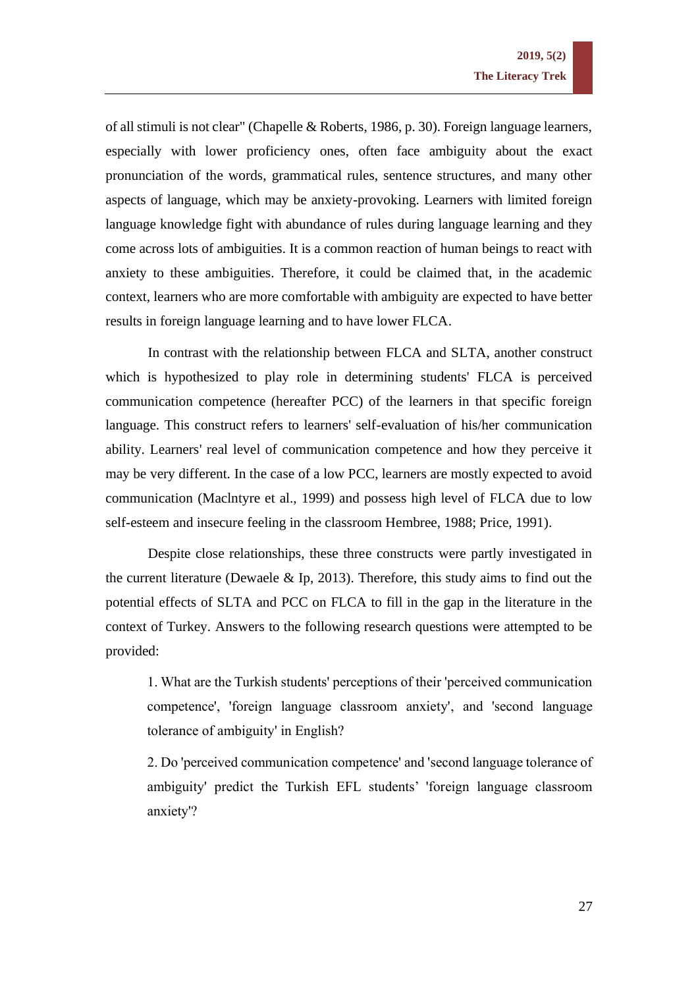of all stimuli is not clear" (Chapelle & Roberts, 1986, p. 30). Foreign language learners, especially with lower proficiency ones, often face ambiguity about the exact pronunciation of the words, grammatical rules, sentence structures, and many other aspects of language, which may be anxiety-provoking. Learners with limited foreign language knowledge fight with abundance of rules during language learning and they come across lots of ambiguities. It is a common reaction of human beings to react with anxiety to these ambiguities. Therefore, it could be claimed that, in the academic context, learners who are more comfortable with ambiguity are expected to have better results in foreign language learning and to have lower FLCA.

In contrast with the relationship between FLCA and SLTA, another construct which is hypothesized to play role in determining students' FLCA is perceived communication competence (hereafter PCC) of the learners in that specific foreign language. This construct refers to learners' self-evaluation of his/her communication ability. Learners' real level of communication competence and how they perceive it may be very different. In the case of a low PCC, learners are mostly expected to avoid communication (Maclntyre et al., 1999) and possess high level of FLCA due to low self-esteem and insecure feeling in the classroom Hembree, 1988; Price, 1991).

Despite close relationships, these three constructs were partly investigated in the current literature (Dewaele  $\&$  Ip, 2013). Therefore, this study aims to find out the potential effects of SLTA and PCC on FLCA to fill in the gap in the literature in the context of Turkey. Answers to the following research questions were attempted to be provided:

1. What are the Turkish students' perceptions of their 'perceived communication competence', 'foreign language classroom anxiety', and 'second language tolerance of ambiguity' in English?

2. Do 'perceived communication competence' and 'second language tolerance of ambiguity' predict the Turkish EFL students' 'foreign language classroom anxiety'?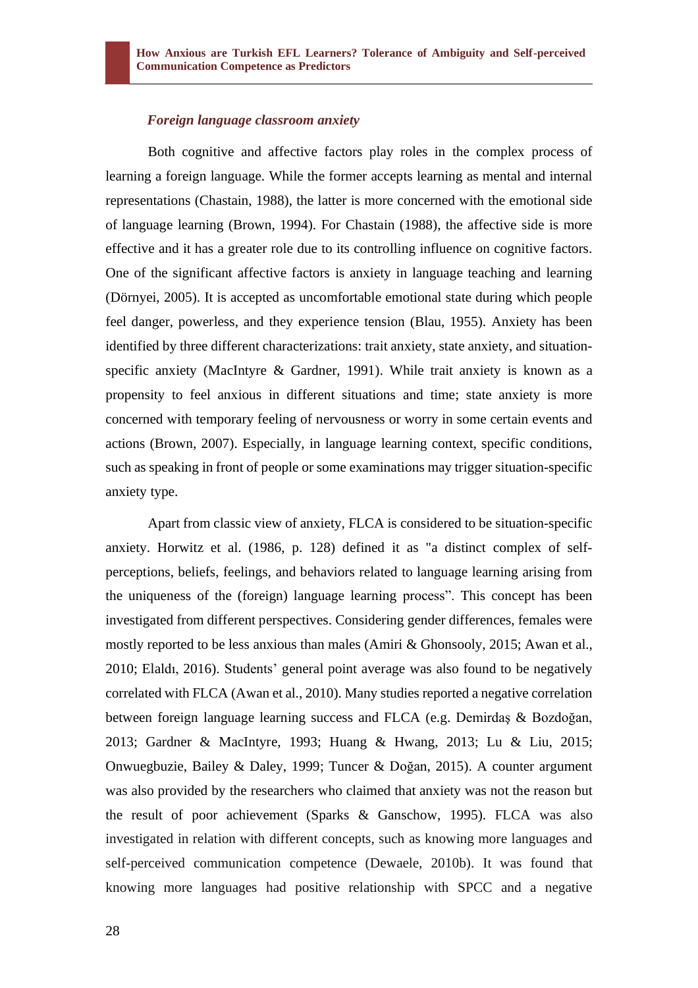### *Foreign language classroom anxiety*

Both cognitive and affective factors play roles in the complex process of learning a foreign language. While the former accepts learning as mental and internal representations (Chastain, 1988), the latter is more concerned with the emotional side of language learning (Brown, 1994). For Chastain (1988), the affective side is more effective and it has a greater role due to its controlling influence on cognitive factors. One of the significant affective factors is anxiety in language teaching and learning (Dörnyei, 2005). It is accepted as uncomfortable emotional state during which people feel danger, powerless, and they experience tension (Blau, 1955). Anxiety has been identified by three different characterizations: trait anxiety, state anxiety, and situationspecific anxiety (MacIntyre & Gardner, 1991). While trait anxiety is known as a propensity to feel anxious in different situations and time; state anxiety is more concerned with temporary feeling of nervousness or worry in some certain events and actions (Brown, 2007). Especially, in language learning context, specific conditions, such as speaking in front of people or some examinations may trigger situation-specific anxiety type.

Apart from classic view of anxiety, FLCA is considered to be situation-specific anxiety. Horwitz et al. (1986, p. 128) defined it as "a distinct complex of selfperceptions, beliefs, feelings, and behaviors related to language learning arising from the uniqueness of the (foreign) language learning process". This concept has been investigated from different perspectives. Considering gender differences, females were mostly reported to be less anxious than males (Amiri & Ghonsooly, 2015; Awan et al., 2010; Elaldı, 2016). Students' general point average was also found to be negatively correlated with FLCA (Awan et al., 2010). Many studies reported a negative correlation between foreign language learning success and FLCA (e.g. Demirdaş & Bozdoğan, 2013; Gardner & MacIntyre, 1993; Huang & Hwang, 2013; Lu & Liu, 2015; Onwuegbuzie, Bailey & Daley, 1999; Tuncer & Doğan, 2015). A counter argument was also provided by the researchers who claimed that anxiety was not the reason but the result of poor achievement (Sparks & Ganschow, 1995). FLCA was also investigated in relation with different concepts, such as knowing more languages and self-perceived communication competence (Dewaele, 2010b). It was found that knowing more languages had positive relationship with SPCC and a negative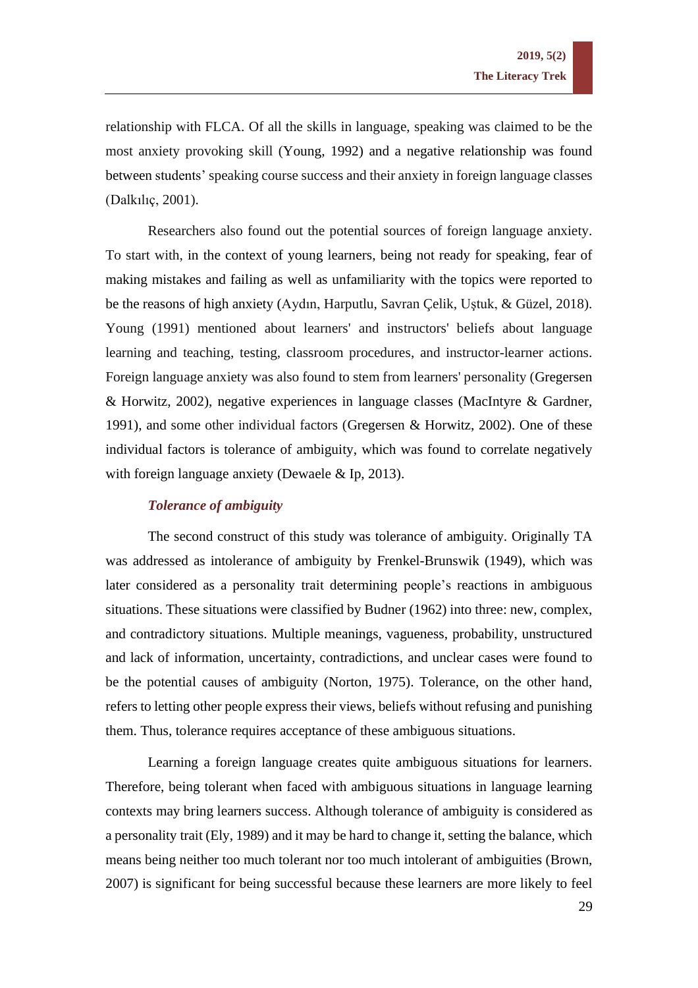relationship with FLCA. Of all the skills in language, speaking was claimed to be the most anxiety provoking skill (Young, 1992) and a negative relationship was found between students' speaking course success and their anxiety in foreign language classes (Dalkılıç, 2001).

Researchers also found out the potential sources of foreign language anxiety. To start with, in the context of young learners, being not ready for speaking, fear of making mistakes and failing as well as unfamiliarity with the topics were reported to be the reasons of high anxiety (Aydın, Harputlu, Savran Çelik, Uştuk, & Güzel, 2018). Young (1991) mentioned about learners' and instructors' beliefs about language learning and teaching, testing, classroom procedures, and instructor-learner actions. Foreign language anxiety was also found to stem from learners' personality (Gregersen & Horwitz, 2002), negative experiences in language classes (MacIntyre & Gardner, 1991), and some other individual factors (Gregersen & Horwitz, 2002). One of these individual factors is tolerance of ambiguity, which was found to correlate negatively with foreign language anxiety (Dewaele & Ip, 2013).

# *Tolerance of ambiguity*

The second construct of this study was tolerance of ambiguity. Originally TA was addressed as intolerance of ambiguity by Frenkel-Brunswik (1949), which was later considered as a personality trait determining people's reactions in ambiguous situations. These situations were classified by Budner (1962) into three: new, complex, and contradictory situations. Multiple meanings, vagueness, probability, unstructured and lack of information, uncertainty, contradictions, and unclear cases were found to be the potential causes of ambiguity (Norton, 1975). Tolerance, on the other hand, refers to letting other people express their views, beliefs without refusing and punishing them. Thus, tolerance requires acceptance of these ambiguous situations.

Learning a foreign language creates quite ambiguous situations for learners. Therefore, being tolerant when faced with ambiguous situations in language learning contexts may bring learners success. Although tolerance of ambiguity is considered as a personality trait (Ely, 1989) and it may be hard to change it, setting the balance, which means being neither too much tolerant nor too much intolerant of ambiguities (Brown, 2007) is significant for being successful because these learners are more likely to feel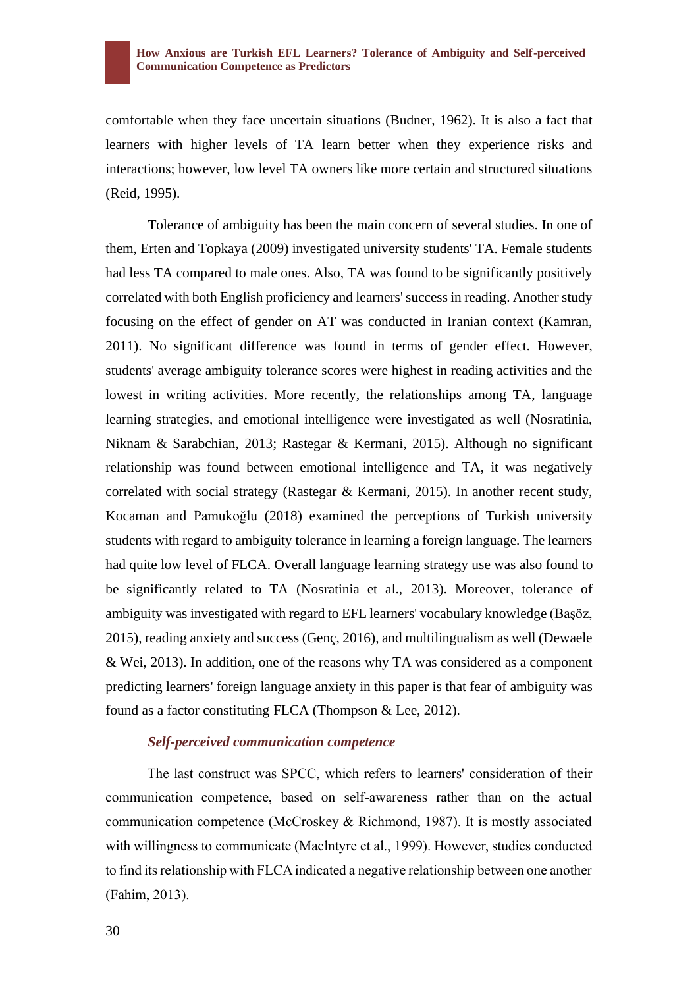comfortable when they face uncertain situations (Budner, 1962). It is also a fact that learners with higher levels of TA learn better when they experience risks and interactions; however, low level TA owners like more certain and structured situations (Reid, 1995).

Tolerance of ambiguity has been the main concern of several studies. In one of them, Erten and Topkaya (2009) investigated university students' TA. Female students had less TA compared to male ones. Also, TA was found to be significantly positively correlated with both English proficiency and learners' success in reading. Another study focusing on the effect of gender on AT was conducted in Iranian context (Kamran, 2011). No significant difference was found in terms of gender effect. However, students' average ambiguity tolerance scores were highest in reading activities and the lowest in writing activities. More recently, the relationships among TA, language learning strategies, and emotional intelligence were investigated as well (Nosratinia, Niknam & Sarabchian, 2013; Rastegar & Kermani, 2015). Although no significant relationship was found between emotional intelligence and TA, it was negatively correlated with social strategy (Rastegar & Kermani, 2015). In another recent study, Kocaman and Pamukoğlu (2018) examined the perceptions of Turkish university students with regard to ambiguity tolerance in learning a foreign language. The learners had quite low level of FLCA. Overall language learning strategy use was also found to be significantly related to TA (Nosratinia et al., 2013). Moreover, tolerance of ambiguity was investigated with regard to EFL learners' vocabulary knowledge (Başöz, 2015), reading anxiety and success (Genç, 2016), and multilingualism as well (Dewaele & Wei, 2013). In addition, one of the reasons why TA was considered as a component predicting learners' foreign language anxiety in this paper is that fear of ambiguity was found as a factor constituting FLCA (Thompson & Lee, 2012).

# *Self-perceived communication competence*

The last construct was SPCC, which refers to learners' consideration of their communication competence, based on self-awareness rather than on the actual communication competence (McCroskey & Richmond, 1987). It is mostly associated with willingness to communicate (Maclntyre et al., 1999). However, studies conducted to find its relationship with FLCA indicated a negative relationship between one another (Fahim, 2013).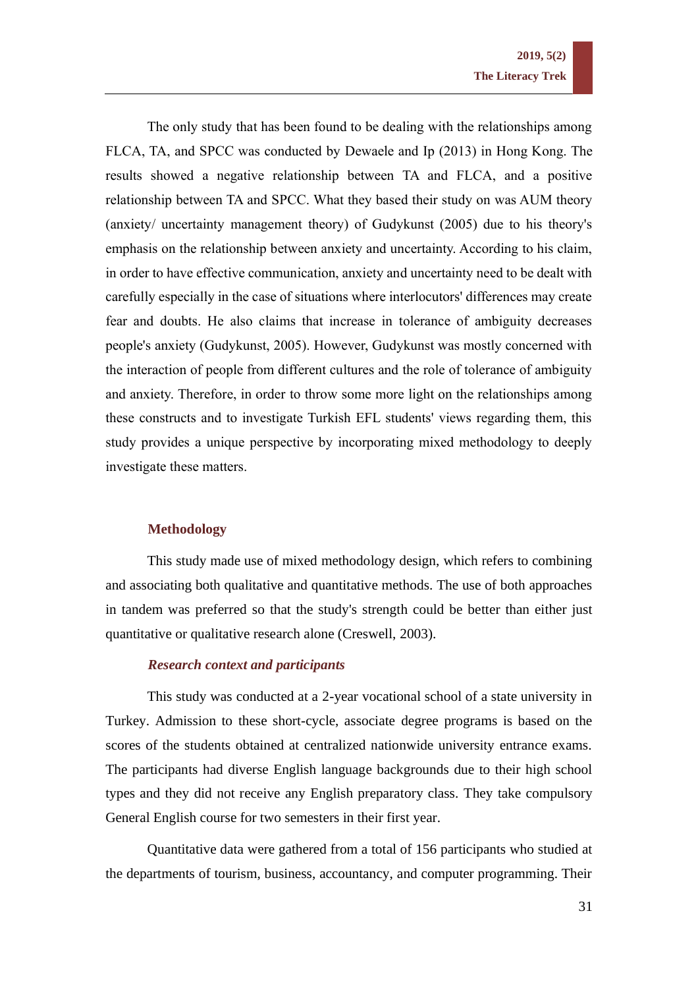The only study that has been found to be dealing with the relationships among FLCA, TA, and SPCC was conducted by Dewaele and Ip (2013) in Hong Kong. The results showed a negative relationship between TA and FLCA, and a positive relationship between TA and SPCC. What they based their study on was AUM theory (anxiety/ uncertainty management theory) of Gudykunst (2005) due to his theory's emphasis on the relationship between anxiety and uncertainty. According to his claim, in order to have effective communication, anxiety and uncertainty need to be dealt with carefully especially in the case of situations where interlocutors' differences may create fear and doubts. He also claims that increase in tolerance of ambiguity decreases people's anxiety (Gudykunst, 2005). However, Gudykunst was mostly concerned with the interaction of people from different cultures and the role of tolerance of ambiguity and anxiety. Therefore, in order to throw some more light on the relationships among these constructs and to investigate Turkish EFL students' views regarding them, this study provides a unique perspective by incorporating mixed methodology to deeply investigate these matters.

#### **Methodology**

This study made use of mixed methodology design, which refers to combining and associating both qualitative and quantitative methods. The use of both approaches in tandem was preferred so that the study's strength could be better than either just quantitative or qualitative research alone (Creswell, 2003).

# *Research context and participants*

This study was conducted at a 2-year vocational school of a state university in Turkey. Admission to these short-cycle, associate degree programs is based on the scores of the students obtained at centralized nationwide university entrance exams. The participants had diverse English language backgrounds due to their high school types and they did not receive any English preparatory class. They take compulsory General English course for two semesters in their first year.

Quantitative data were gathered from a total of 156 participants who studied at the departments of tourism, business, accountancy, and computer programming. Their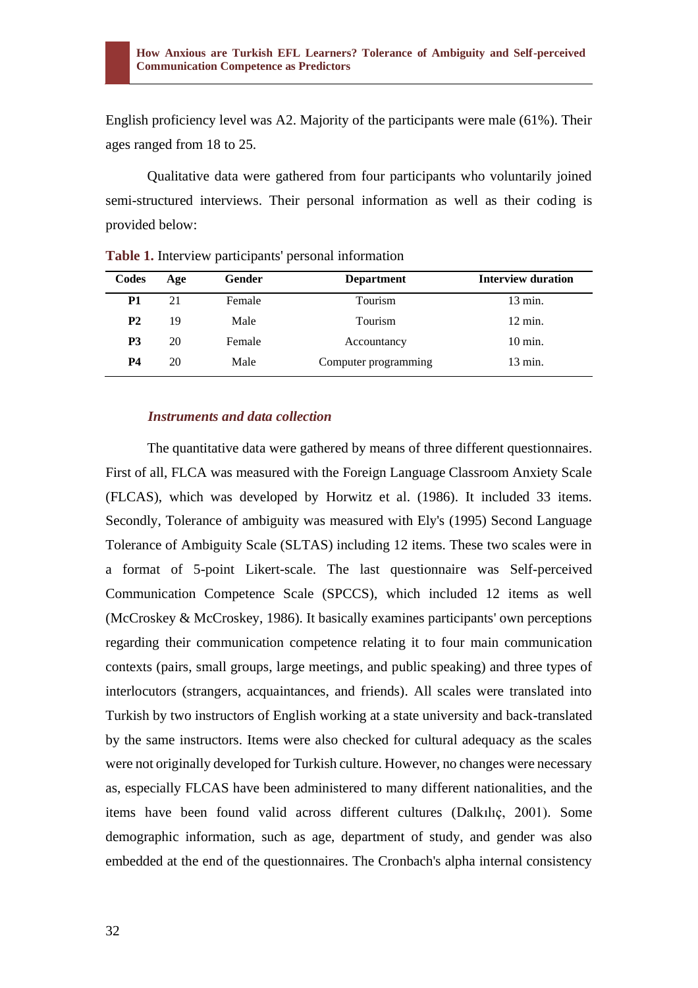English proficiency level was A2. Majority of the participants were male (61%). Their ages ranged from 18 to 25.

Qualitative data were gathered from four participants who voluntarily joined semi-structured interviews. Their personal information as well as their coding is provided below:

| Codes     | Age | Gender | <b>Department</b>    | <b>Interview duration</b> |
|-----------|-----|--------|----------------------|---------------------------|
| P1        | 21  | Female | Tourism              | $13 \text{ min.}$         |
| <b>P2</b> | 19  | Male   | Tourism              | $12 \text{ min.}$         |
| P3        | 20  | Female | Accountancy          | $10 \text{ min}$ .        |
| P4        | 20  | Male   | Computer programming | $13 \text{ min.}$         |

**Table 1.** Interview participants' personal information

# *Instruments and data collection*

The quantitative data were gathered by means of three different questionnaires. First of all, FLCA was measured with the Foreign Language Classroom Anxiety Scale (FLCAS), which was developed by Horwitz et al. (1986). It included 33 items. Secondly, Tolerance of ambiguity was measured with Ely's (1995) Second Language Tolerance of Ambiguity Scale (SLTAS) including 12 items. These two scales were in a format of 5-point Likert-scale. The last questionnaire was Self-perceived Communication Competence Scale (SPCCS), which included 12 items as well (McCroskey & McCroskey, 1986). It basically examines participants' own perceptions regarding their communication competence relating it to four main communication contexts (pairs, small groups, large meetings, and public speaking) and three types of interlocutors (strangers, acquaintances, and friends). All scales were translated into Turkish by two instructors of English working at a state university and back-translated by the same instructors. Items were also checked for cultural adequacy as the scales were not originally developed for Turkish culture. However, no changes were necessary as, especially FLCAS have been administered to many different nationalities, and the items have been found valid across different cultures (Dalkılıç, 2001). Some demographic information, such as age, department of study, and gender was also embedded at the end of the questionnaires. The Cronbach's alpha internal consistency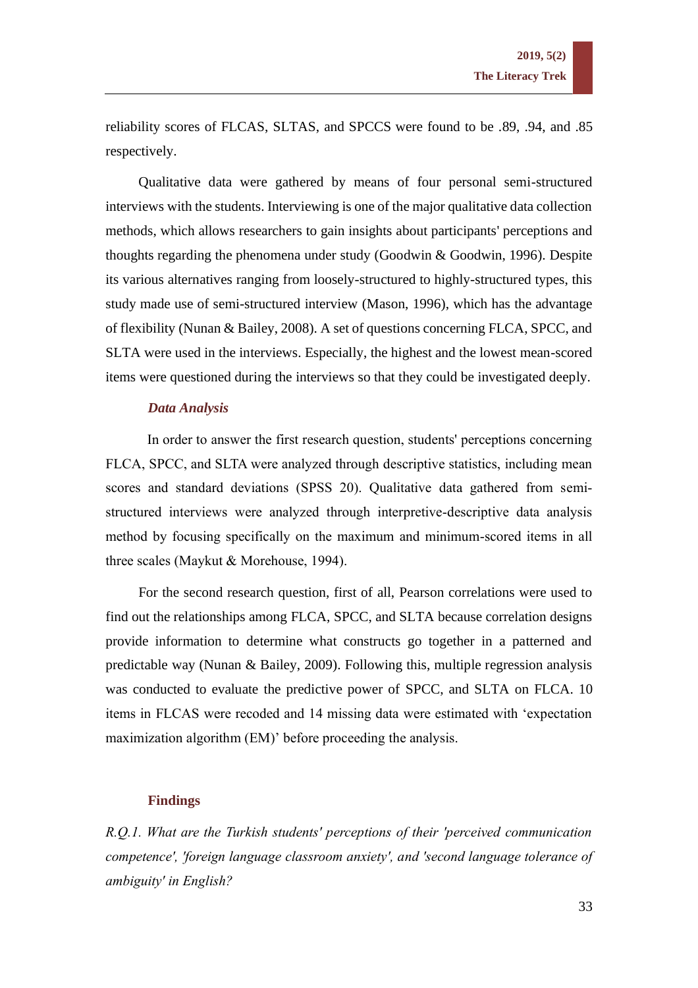reliability scores of FLCAS, SLTAS, and SPCCS were found to be .89, .94, and .85 respectively.

Qualitative data were gathered by means of four personal semi-structured interviews with the students. Interviewing is one of the major qualitative data collection methods, which allows researchers to gain insights about participants' perceptions and thoughts regarding the phenomena under study (Goodwin & Goodwin, 1996). Despite its various alternatives ranging from loosely-structured to highly-structured types, this study made use of semi-structured interview (Mason, 1996), which has the advantage of flexibility (Nunan & Bailey, 2008). A set of questions concerning FLCA, SPCC, and SLTA were used in the interviews. Especially, the highest and the lowest mean-scored items were questioned during the interviews so that they could be investigated deeply.

# *Data Analysis*

In order to answer the first research question, students' perceptions concerning FLCA, SPCC, and SLTA were analyzed through descriptive statistics, including mean scores and standard deviations (SPSS 20). Qualitative data gathered from semistructured interviews were analyzed through interpretive-descriptive data analysis method by focusing specifically on the maximum and minimum-scored items in all three scales (Maykut & Morehouse, 1994).

For the second research question, first of all, Pearson correlations were used to find out the relationships among FLCA, SPCC, and SLTA because correlation designs provide information to determine what constructs go together in a patterned and predictable way (Nunan & Bailey, 2009). Following this, multiple regression analysis was conducted to evaluate the predictive power of SPCC, and SLTA on FLCA. 10 items in FLCAS were recoded and 14 missing data were estimated with 'expectation maximization algorithm (EM)' before proceeding the analysis.

#### **Findings**

*R.Q.1. What are the Turkish students' perceptions of their 'perceived communication competence', 'foreign language classroom anxiety', and 'second language tolerance of ambiguity' in English?*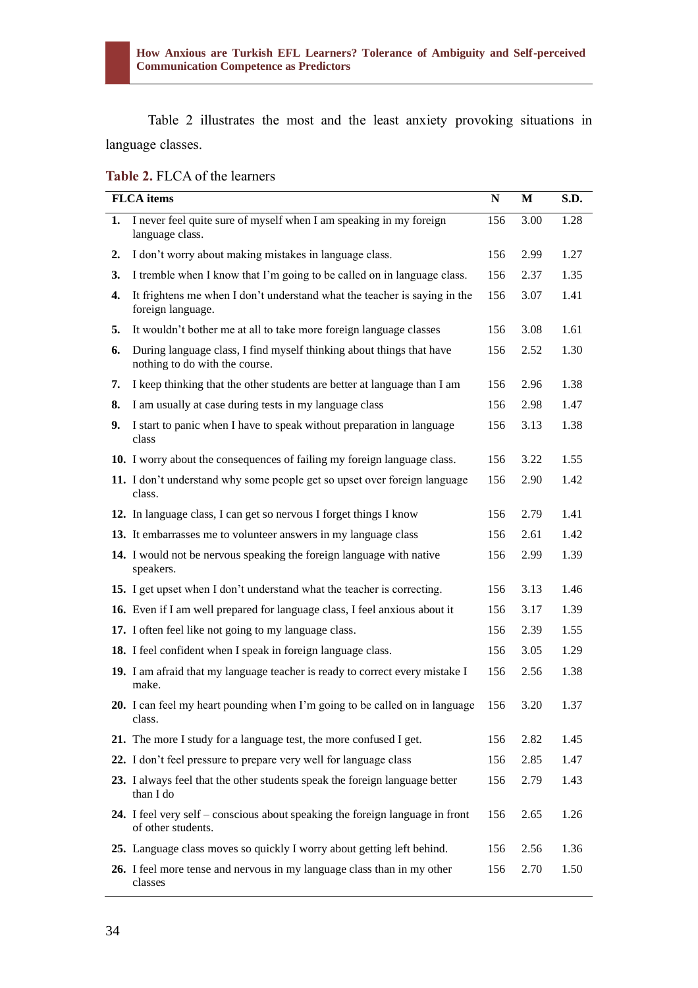Table 2 illustrates the most and the least anxiety provoking situations in language classes.

|  |  |  | Table 2. FLCA of the learners |
|--|--|--|-------------------------------|
|--|--|--|-------------------------------|

|    | <b>FLCA</b> items                                                                                      | N   | M    | S.D. |
|----|--------------------------------------------------------------------------------------------------------|-----|------|------|
| 1. | I never feel quite sure of myself when I am speaking in my foreign<br>language class.                  | 156 | 3.00 | 1.28 |
| 2. | I don't worry about making mistakes in language class.                                                 | 156 | 2.99 | 1.27 |
| 3. | I tremble when I know that I'm going to be called on in language class.                                | 156 | 2.37 | 1.35 |
| 4. | It frightens me when I don't understand what the teacher is saying in the<br>foreign language.         | 156 | 3.07 | 1.41 |
| 5. | It wouldn't bother me at all to take more foreign language classes                                     | 156 | 3.08 | 1.61 |
| 6. | During language class, I find myself thinking about things that have<br>nothing to do with the course. | 156 | 2.52 | 1.30 |
| 7. | I keep thinking that the other students are better at language than I am                               | 156 | 2.96 | 1.38 |
| 8. | I am usually at case during tests in my language class                                                 | 156 | 2.98 | 1.47 |
| 9. | I start to panic when I have to speak without preparation in language<br>class                         | 156 | 3.13 | 1.38 |
|    | 10. I worry about the consequences of failing my foreign language class.                               | 156 | 3.22 | 1.55 |
|    | 11. I don't understand why some people get so upset over foreign language<br>class.                    | 156 | 2.90 | 1.42 |
|    | 12. In language class, I can get so nervous I forget things I know                                     | 156 | 2.79 | 1.41 |
|    | 13. It embarrasses me to volunteer answers in my language class                                        | 156 | 2.61 | 1.42 |
|    | 14. I would not be nervous speaking the foreign language with native<br>speakers.                      | 156 | 2.99 | 1.39 |
|    | 15. I get upset when I don't understand what the teacher is correcting.                                | 156 | 3.13 | 1.46 |
|    | 16. Even if I am well prepared for language class, I feel anxious about it                             | 156 | 3.17 | 1.39 |
|    | 17. I often feel like not going to my language class.                                                  | 156 | 2.39 | 1.55 |
|    | 18. I feel confident when I speak in foreign language class.                                           | 156 | 3.05 | 1.29 |
|    | 19. I am afraid that my language teacher is ready to correct every mistake I<br>make.                  | 156 | 2.56 | 1.38 |
|    | 20. I can feel my heart pounding when I'm going to be called on in language<br>class.                  | 156 | 3.20 | 1.37 |
|    | 21. The more I study for a language test, the more confused I get.                                     | 156 | 2.82 | 1.45 |
|    | 22. I don't feel pressure to prepare very well for language class                                      | 156 | 2.85 | 1.47 |
|    | 23. I always feel that the other students speak the foreign language better<br>than I do               | 156 | 2.79 | 1.43 |
|    | 24. I feel very self – conscious about speaking the foreign language in front<br>of other students.    | 156 | 2.65 | 1.26 |
|    | 25. Language class moves so quickly I worry about getting left behind.                                 | 156 | 2.56 | 1.36 |
|    | 26. I feel more tense and nervous in my language class than in my other<br>classes                     | 156 | 2.70 | 1.50 |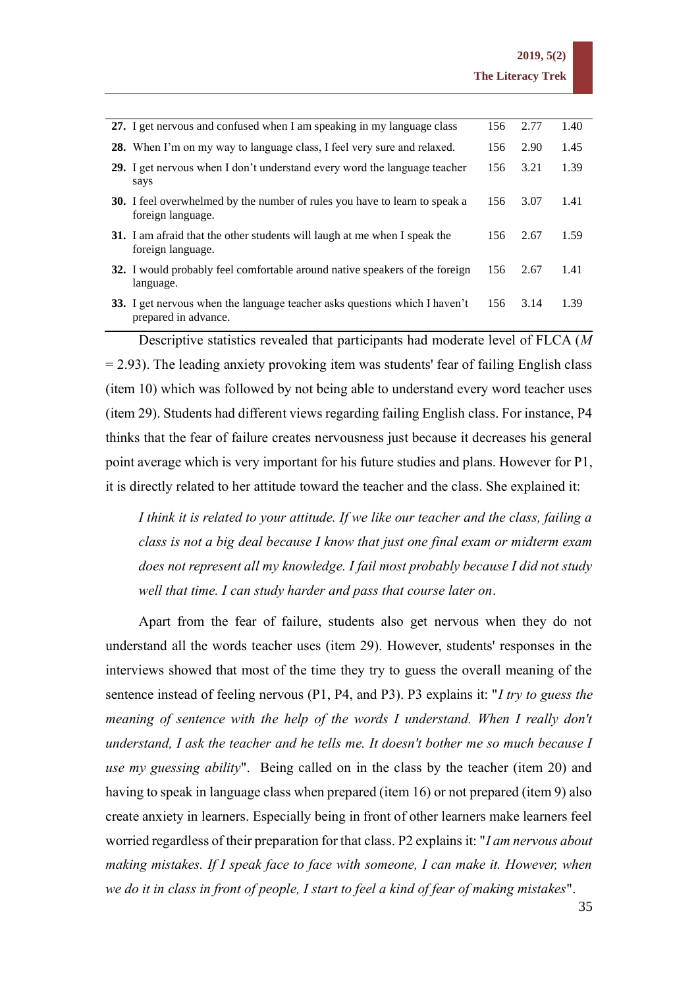| 27. I get nervous and confused when I am speaking in my language class                                 | 156 | 2.77 | 1.40 |
|--------------------------------------------------------------------------------------------------------|-----|------|------|
| 28. When I'm on my way to language class, I feel very sure and relaxed.                                | 156 | 2.90 | 1.45 |
| 29. I get nervous when I don't understand every word the language teacher<br>says                      | 156 | 3.21 | 1.39 |
| <b>30.</b> I feel overwhelmed by the number of rules you have to learn to speak a<br>foreign language. | 156 | 3.07 | 1.41 |
| <b>31.</b> I am afraid that the other students will laugh at me when I speak the<br>foreign language.  | 156 | 2.67 | 1.59 |
| <b>32.</b> I would probably feel comfortable around native speakers of the foreign<br>language.        | 156 | 2.67 | 1.41 |
| 33. I get nervous when the language teacher asks questions which I haven't<br>prepared in advance.     | 156 | 3.14 | 1.39 |

Descriptive statistics revealed that participants had moderate level of FLCA (*M*  $= 2.93$ ). The leading anxiety provoking item was students' fear of failing English class (item 10) which was followed by not being able to understand every word teacher uses (item 29). Students had different views regarding failing English class. For instance, P4 thinks that the fear of failure creates nervousness just because it decreases his general point average which is very important for his future studies and plans. However for P1, it is directly related to her attitude toward the teacher and the class. She explained it:

*I think it is related to your attitude. If we like our teacher and the class, failing a class is not a big deal because I know that just one final exam or midterm exam does not represent all my knowledge. I fail most probably because I did not study well that time. I can study harder and pass that course later on*.

Apart from the fear of failure, students also get nervous when they do not understand all the words teacher uses (item 29). However, students' responses in the interviews showed that most of the time they try to guess the overall meaning of the sentence instead of feeling nervous (P1, P4, and P3). P3 explains it: "*I try to guess the meaning of sentence with the help of the words I understand. When I really don't understand, I ask the teacher and he tells me. It doesn't bother me so much because I use my guessing ability*". Being called on in the class by the teacher (item 20) and having to speak in language class when prepared (item 16) or not prepared (item 9) also create anxiety in learners. Especially being in front of other learners make learners feel worried regardless of their preparation for that class. P2 explains it: "*I am nervous about making mistakes. If I speak face to face with someone, I can make it. However, when we do it in class in front of people, I start to feel a kind of fear of making mistakes*".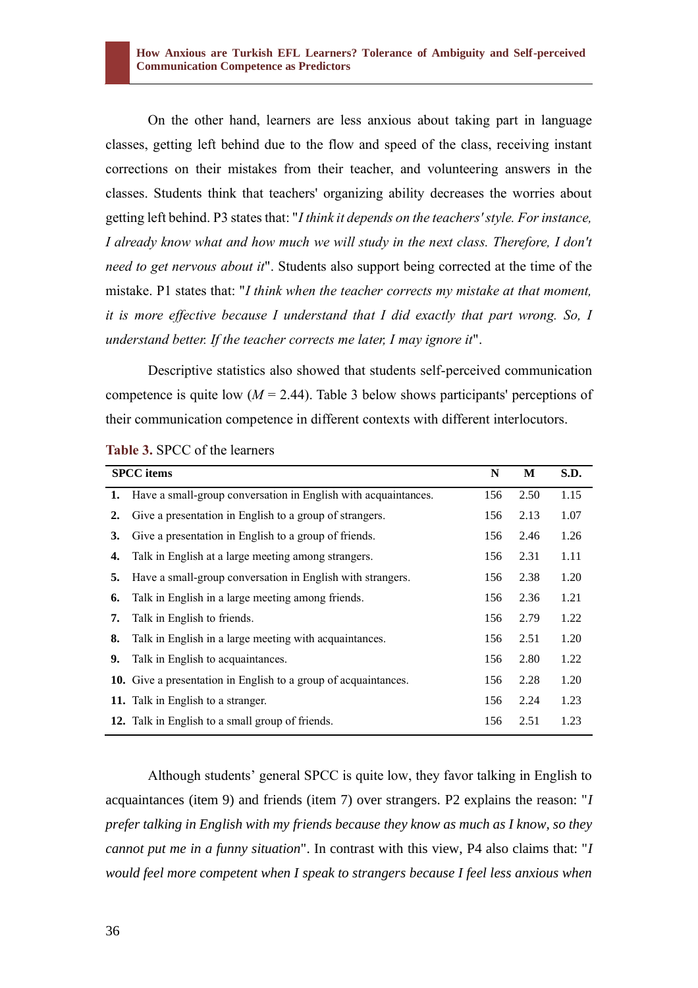On the other hand, learners are less anxious about taking part in language classes, getting left behind due to the flow and speed of the class, receiving instant corrections on their mistakes from their teacher, and volunteering answers in the classes. Students think that teachers' organizing ability decreases the worries about getting left behind. P3 states that: "*I think it depends on the teachers' style. For instance, I already know what and how much we will study in the next class. Therefore, I don't need to get nervous about it*". Students also support being corrected at the time of the mistake. P1 states that: "*I think when the teacher corrects my mistake at that moment, it is more effective because I understand that I did exactly that part wrong. So, I understand better. If the teacher corrects me later, I may ignore it*".

Descriptive statistics also showed that students self-perceived communication competence is quite low  $(M = 2.44)$ . Table 3 below shows participants' perceptions of their communication competence in different contexts with different interlocutors.

|    | <b>SPCC</b> items                                                 | N   | M    | S.D. |
|----|-------------------------------------------------------------------|-----|------|------|
|    | 1. Have a small-group conversation in English with acquaintances. | 156 | 2.50 | 1.15 |
| 2. | Give a presentation in English to a group of strangers.           | 156 | 2.13 | 1.07 |
| 3. | Give a presentation in English to a group of friends.             | 156 | 2.46 | 1.26 |
| 4. | Talk in English at a large meeting among strangers.               | 156 | 2.31 | 1.11 |
| 5. | Have a small-group conversation in English with strangers.        | 156 | 2.38 | 1.20 |
| 6. | Talk in English in a large meeting among friends.                 | 156 | 2.36 | 1.21 |
| 7. | Talk in English to friends.                                       | 156 | 2.79 | 1.22 |
| 8. | Talk in English in a large meeting with acquaintances.            | 156 | 2.51 | 1.20 |
| 9. | Talk in English to acquaintances.                                 | 156 | 2.80 | 1.22 |
|    | 10. Give a presentation in English to a group of acquaintances.   | 156 | 2.28 | 1.20 |
|    | 11. Talk in English to a stranger.                                | 156 | 2.24 | 1.23 |
|    | 12. Talk in English to a small group of friends.                  | 156 | 2.51 | 1.23 |

**Table 3.** SPCC of the learners

Although students' general SPCC is quite low, they favor talking in English to acquaintances (item 9) and friends (item 7) over strangers. P2 explains the reason: "*I prefer talking in English with my friends because they know as much as I know, so they cannot put me in a funny situation*". In contrast with this view, P4 also claims that: "*I would feel more competent when I speak to strangers because I feel less anxious when*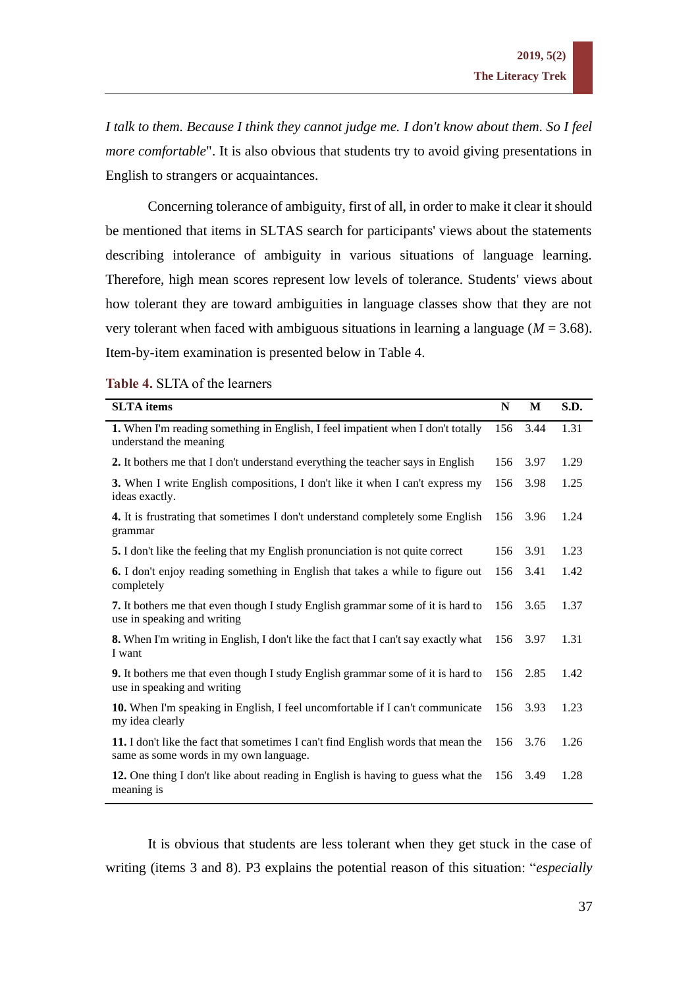*I talk to them. Because I think they cannot judge me. I don't know about them. So I feel more comfortable*". It is also obvious that students try to avoid giving presentations in English to strangers or acquaintances.

Concerning tolerance of ambiguity, first of all, in order to make it clear it should be mentioned that items in SLTAS search for participants' views about the statements describing intolerance of ambiguity in various situations of language learning. Therefore, high mean scores represent low levels of tolerance. Students' views about how tolerant they are toward ambiguities in language classes show that they are not very tolerant when faced with ambiguous situations in learning a language ( $M = 3.68$ ). Item-by-item examination is presented below in Table 4.

| <b>SLTA</b> items                                                                                                           | N   | M    | S.D. |
|-----------------------------------------------------------------------------------------------------------------------------|-----|------|------|
| 1. When I'm reading something in English, I feel impatient when I don't totally<br>understand the meaning                   | 156 | 3.44 | 1.31 |
| 2. It bothers me that I don't understand everything the teacher says in English                                             | 156 | 3.97 | 1.29 |
| 3. When I write English compositions, I don't like it when I can't express my<br>ideas exactly.                             | 156 | 3.98 | 1.25 |
| 4. It is frustrating that sometimes I don't understand completely some English<br>grammar                                   | 156 | 3.96 | 1.24 |
| 5. I don't like the feeling that my English pronunciation is not quite correct                                              | 156 | 3.91 | 1.23 |
| 6. I don't enjoy reading something in English that takes a while to figure out<br>completely                                | 156 | 3.41 | 1.42 |
| 7. It bothers me that even though I study English grammar some of it is hard to<br>use in speaking and writing              | 156 | 3.65 | 1.37 |
| 8. When I'm writing in English, I don't like the fact that I can't say exactly what<br>I want                               | 156 | 3.97 | 1.31 |
| 9. It bothers me that even though I study English grammar some of it is hard to<br>use in speaking and writing              | 156 | 2.85 | 1.42 |
| 10. When I'm speaking in English, I feel uncomfortable if I can't communicate<br>my idea clearly                            | 156 | 3.93 | 1.23 |
| 11. I don't like the fact that sometimes I can't find English words that mean the<br>same as some words in my own language. | 156 | 3.76 | 1.26 |
| 12. One thing I don't like about reading in English is having to guess what the<br>meaning is                               | 156 | 3.49 | 1.28 |

| Table 4. SLTA of the learners |  |  |  |
|-------------------------------|--|--|--|
|-------------------------------|--|--|--|

It is obvious that students are less tolerant when they get stuck in the case of writing (items 3 and 8). P3 explains the potential reason of this situation: "*especially*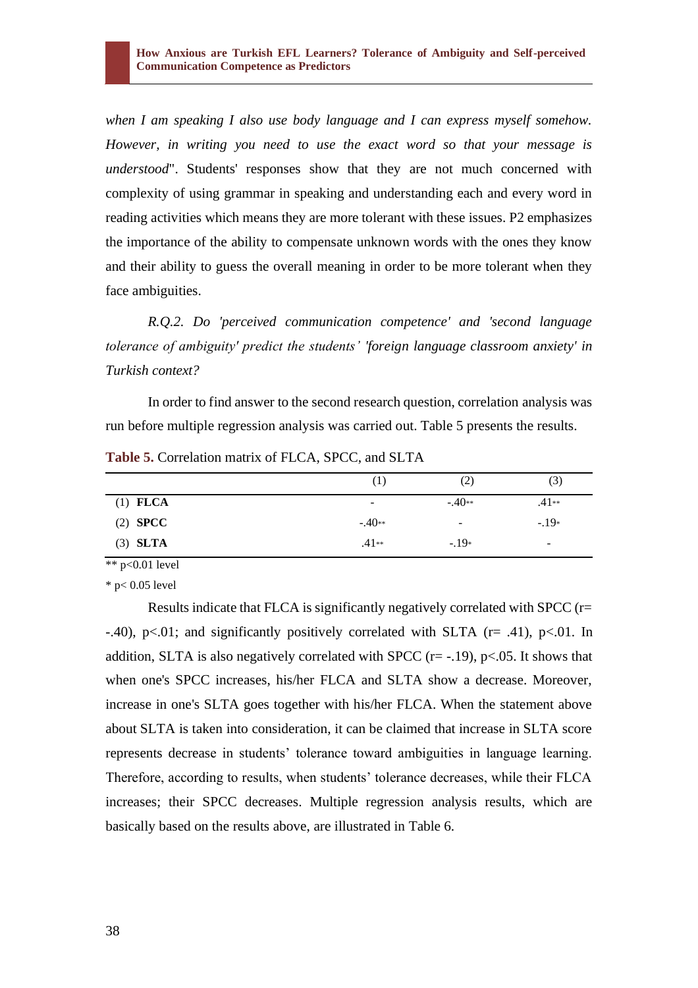*when I am speaking I also use body language and I can express myself somehow. However, in writing you need to use the exact word so that your message is understood*". Students' responses show that they are not much concerned with complexity of using grammar in speaking and understanding each and every word in reading activities which means they are more tolerant with these issues. P2 emphasizes the importance of the ability to compensate unknown words with the ones they know and their ability to guess the overall meaning in order to be more tolerant when they face ambiguities.

*R.Q.2. Do 'perceived communication competence' and 'second language tolerance of ambiguity' predict the students' 'foreign language classroom anxiety' in Turkish context?* 

In order to find answer to the second research question, correlation analysis was run before multiple regression analysis was carried out. Table 5 presents the results.

|                          | (2)                          | (3)     |
|--------------------------|------------------------------|---------|
| $\overline{\phantom{a}}$ | $-.40**$                     | $.41**$ |
| $-.40**$                 | $\qquad \qquad \blacksquare$ | $-.19*$ |
| $.41**$                  | $-.19*$                      | ٠       |
|                          |                              |         |

**Table 5.** Correlation matrix of FLCA, SPCC, and SLTA

 $*$  p<0.01 level

 $*$  p $< 0.05$  level

Results indicate that FLCA is significantly negatively correlated with SPCC (r=  $-40$ ,  $p<.01$ ; and significantly positively correlated with SLTA ( $r = .41$ ),  $p<.01$ . In addition, SLTA is also negatively correlated with SPCC  $(r=-.19)$ ,  $p<.05$ . It shows that when one's SPCC increases, his/her FLCA and SLTA show a decrease. Moreover, increase in one's SLTA goes together with his/her FLCA. When the statement above about SLTA is taken into consideration, it can be claimed that increase in SLTA score represents decrease in students' tolerance toward ambiguities in language learning. Therefore, according to results, when students' tolerance decreases, while their FLCA increases; their SPCC decreases. Multiple regression analysis results, which are basically based on the results above, are illustrated in Table 6.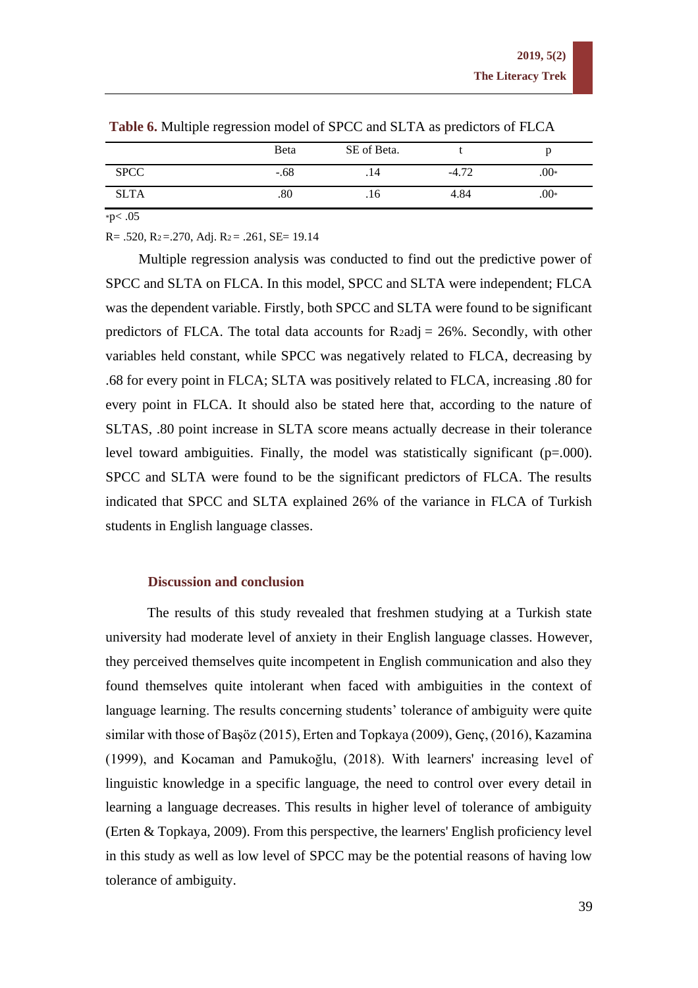|             | Beta    | SE of Beta. |         |        |
|-------------|---------|-------------|---------|--------|
| <b>SPCC</b> | $-.68$  | . 14        | $-4.72$ | $.00*$ |
| <b>SLTA</b> | $.80\,$ | .16         | 4.84    | $.00*$ |

**Table 6.** Multiple regression model of SPCC and SLTA as predictors of FLCA

 $*p<.05$ 

 $R = .520$ ,  $R_2 = .270$ , Adj.  $R_2 = .261$ ,  $SE = 19.14$ 

Multiple regression analysis was conducted to find out the predictive power of SPCC and SLTA on FLCA. In this model, SPCC and SLTA were independent; FLCA was the dependent variable. Firstly, both SPCC and SLTA were found to be significant predictors of FLCA. The total data accounts for  $R2$ adj = 26%. Secondly, with other variables held constant, while SPCC was negatively related to FLCA, decreasing by .68 for every point in FLCA; SLTA was positively related to FLCA, increasing .80 for every point in FLCA. It should also be stated here that, according to the nature of SLTAS, .80 point increase in SLTA score means actually decrease in their tolerance level toward ambiguities. Finally, the model was statistically significant (p=.000). SPCC and SLTA were found to be the significant predictors of FLCA. The results indicated that SPCC and SLTA explained 26% of the variance in FLCA of Turkish students in English language classes.

## **Discussion and conclusion**

The results of this study revealed that freshmen studying at a Turkish state university had moderate level of anxiety in their English language classes. However, they perceived themselves quite incompetent in English communication and also they found themselves quite intolerant when faced with ambiguities in the context of language learning. The results concerning students' tolerance of ambiguity were quite similar with those of Başöz (2015), Erten and Topkaya (2009), Genç, (2016), Kazamina (1999), and Kocaman and Pamukoğlu, (2018). With learners' increasing level of linguistic knowledge in a specific language, the need to control over every detail in learning a language decreases. This results in higher level of tolerance of ambiguity (Erten & Topkaya, 2009). From this perspective, the learners' English proficiency level in this study as well as low level of SPCC may be the potential reasons of having low tolerance of ambiguity.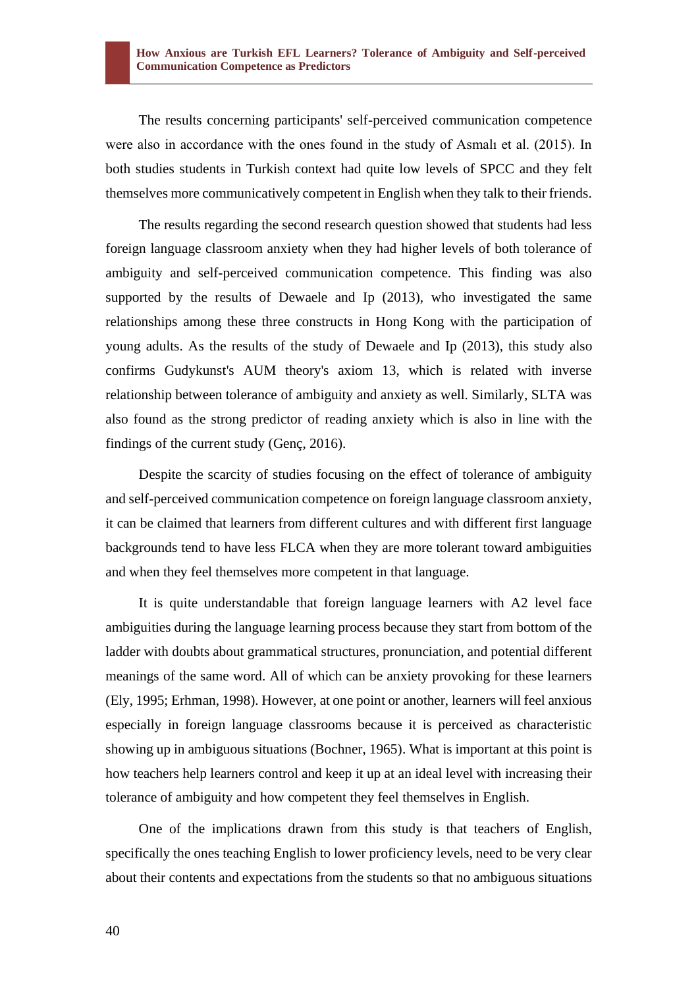The results concerning participants' self-perceived communication competence were also in accordance with the ones found in the study of Asmalı et al. (2015). In both studies students in Turkish context had quite low levels of SPCC and they felt themselves more communicatively competent in English when they talk to their friends.

The results regarding the second research question showed that students had less foreign language classroom anxiety when they had higher levels of both tolerance of ambiguity and self-perceived communication competence. This finding was also supported by the results of Dewaele and Ip (2013), who investigated the same relationships among these three constructs in Hong Kong with the participation of young adults. As the results of the study of Dewaele and Ip (2013), this study also confirms Gudykunst's AUM theory's axiom 13, which is related with inverse relationship between tolerance of ambiguity and anxiety as well. Similarly, SLTA was also found as the strong predictor of reading anxiety which is also in line with the findings of the current study (Genç, 2016).

Despite the scarcity of studies focusing on the effect of tolerance of ambiguity and self-perceived communication competence on foreign language classroom anxiety, it can be claimed that learners from different cultures and with different first language backgrounds tend to have less FLCA when they are more tolerant toward ambiguities and when they feel themselves more competent in that language.

It is quite understandable that foreign language learners with A2 level face ambiguities during the language learning process because they start from bottom of the ladder with doubts about grammatical structures, pronunciation, and potential different meanings of the same word. All of which can be anxiety provoking for these learners (Ely, 1995; Erhman, 1998). However, at one point or another, learners will feel anxious especially in foreign language classrooms because it is perceived as characteristic showing up in ambiguous situations (Bochner, 1965). What is important at this point is how teachers help learners control and keep it up at an ideal level with increasing their tolerance of ambiguity and how competent they feel themselves in English.

One of the implications drawn from this study is that teachers of English, specifically the ones teaching English to lower proficiency levels, need to be very clear about their contents and expectations from the students so that no ambiguous situations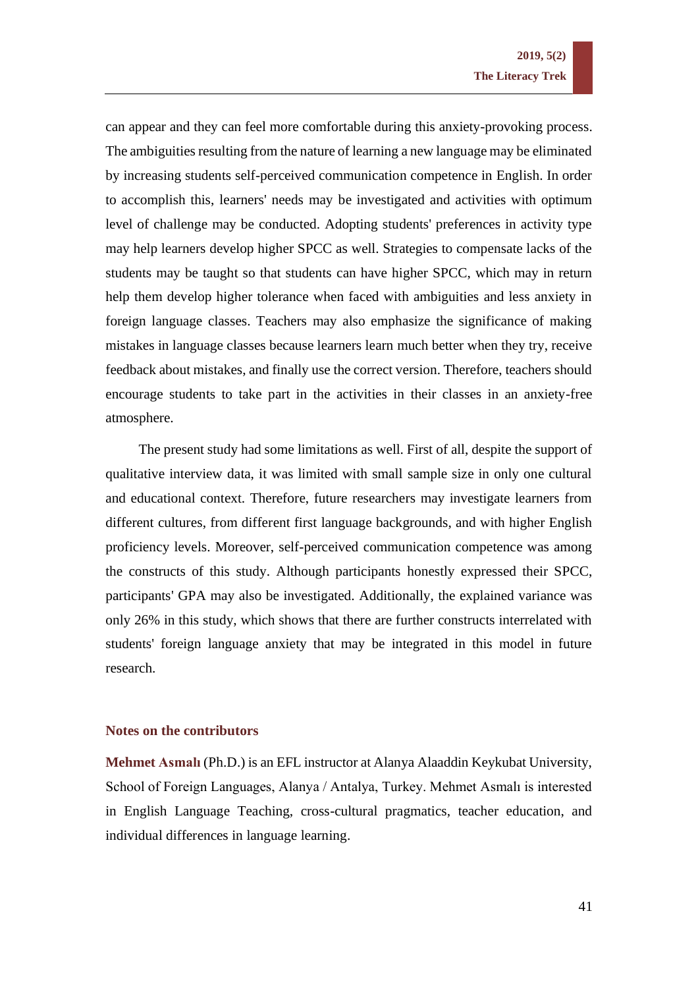can appear and they can feel more comfortable during this anxiety-provoking process. The ambiguities resulting from the nature of learning a new language may be eliminated by increasing students self-perceived communication competence in English. In order to accomplish this, learners' needs may be investigated and activities with optimum level of challenge may be conducted. Adopting students' preferences in activity type may help learners develop higher SPCC as well. Strategies to compensate lacks of the students may be taught so that students can have higher SPCC, which may in return help them develop higher tolerance when faced with ambiguities and less anxiety in foreign language classes. Teachers may also emphasize the significance of making mistakes in language classes because learners learn much better when they try, receive feedback about mistakes, and finally use the correct version. Therefore, teachers should encourage students to take part in the activities in their classes in an anxiety-free atmosphere.

The present study had some limitations as well. First of all, despite the support of qualitative interview data, it was limited with small sample size in only one cultural and educational context. Therefore, future researchers may investigate learners from different cultures, from different first language backgrounds, and with higher English proficiency levels. Moreover, self-perceived communication competence was among the constructs of this study. Although participants honestly expressed their SPCC, participants' GPA may also be investigated. Additionally, the explained variance was only 26% in this study, which shows that there are further constructs interrelated with students' foreign language anxiety that may be integrated in this model in future research.

## **Notes on the contributors**

**Mehmet Asmalı** (Ph.D.) is an EFL instructor at Alanya Alaaddin Keykubat University, School of Foreign Languages, Alanya / Antalya, Turkey. Mehmet Asmalı is interested in English Language Teaching, cross-cultural pragmatics, teacher education, and individual differences in language learning.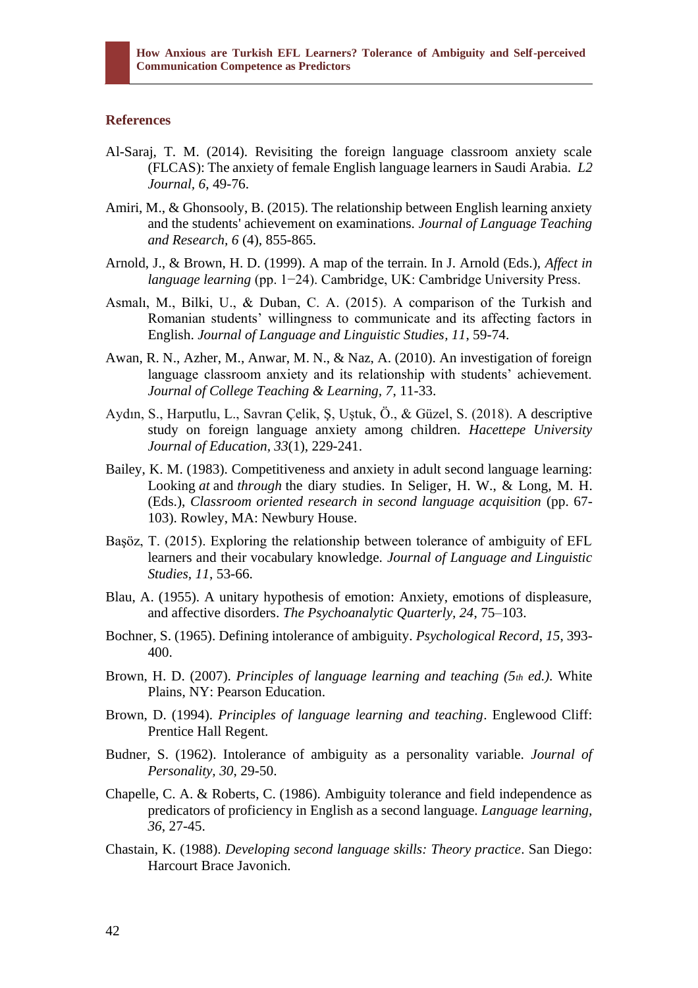# **References**

- Al-Saraj, T. M. (2014). Revisiting the foreign language classroom anxiety scale (FLCAS): The anxiety of female English language learners in Saudi Arabia. *L2 Journal, 6*, 49-76.
- Amiri, M., & Ghonsooly, B. (2015). The relationship between English learning anxiety and the students' achievement on examinations. *Journal of Language Teaching and Research, 6* (4), 855-865.
- Arnold, J., & Brown, H. D. (1999). A map of the terrain. In J. Arnold (Eds.), *Affect in language learning* (pp. 1−24). Cambridge, UK: Cambridge University Press.
- Asmalı, M., Bilki, U., & Duban, C. A. (2015). A comparison of the Turkish and Romanian students' willingness to communicate and its affecting factors in English. *Journal of Language and Linguistic Studies, 11*, 59-74.
- Awan, R. N., Azher, M., Anwar, M. N., & Naz, A. (2010). An investigation of foreign language classroom anxiety and its relationship with students' achievement. *Journal of College Teaching & Learning, 7*, 11-33.
- Aydın, S., Harputlu, L., Savran Çelik, Ş, Uştuk, Ö., & Güzel, S. (2018). A descriptive study on foreign language anxiety among children. *Hacettepe University Journal of Education, 33*(1), 229-241.
- Bailey, K. M. (1983). Competitiveness and anxiety in adult second language learning: Looking *at* and *through* the diary studies. In Seliger, H. W., & Long, M. H. (Eds.), *Classroom oriented research in second language acquisition* (pp. 67- 103). Rowley, MA: Newbury House.
- Başöz, T. (2015). Exploring the relationship between tolerance of ambiguity of EFL learners and their vocabulary knowledge. *Journal of Language and Linguistic Studies, 11*, 53-66.
- Blau, A. (1955). A unitary hypothesis of emotion: Anxiety, emotions of displeasure, and affective disorders. *The Psychoanalytic Quarterly, 24*, 75–103.
- Bochner, S. (1965). Defining intolerance of ambiguity. *Psychological Record*, *15*, 393- 400.
- Brown, H. D. (2007). *Principles of language learning and teaching (5th ed.).* White Plains, NY: Pearson Education.
- Brown, D. (1994). *Principles of language learning and teaching*. Englewood Cliff: Prentice Hall Regent.
- Budner, S. (1962). Intolerance of ambiguity as a personality variable. *Journal of Personality, 30*, 29-50.
- Chapelle, C. A. & Roberts, C. (1986). Ambiguity tolerance and field independence as predicators of proficiency in English as a second language. *Language learning, 36*, 27-45.
- Chastain, K. (1988). *Developing second language skills: Theory practice*. San Diego: Harcourt Brace Javonich.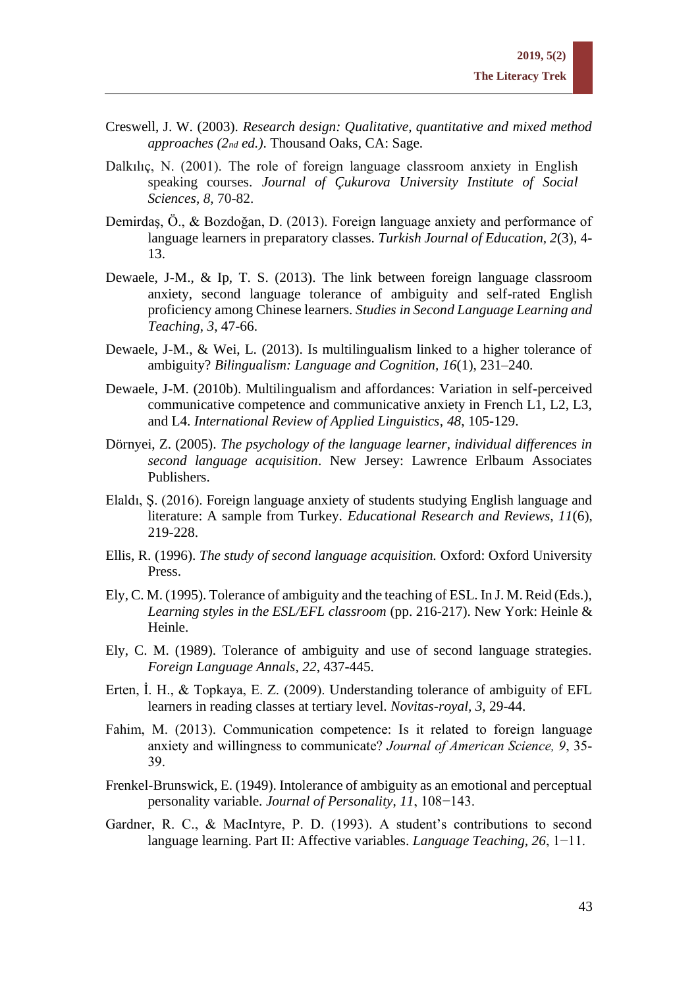- Creswell, J. W. (2003). *Research design: Qualitative, quantitative and mixed method approaches (2nd ed.)*. Thousand Oaks, CA: Sage.
- Dalkılıç, N. (2001). The role of foreign language classroom anxiety in English speaking courses. *Journal of Çukurova University Institute of Social Sciences*, *8*, 70-82.
- Demirdaş, Ö., & Bozdoğan, D. (2013). Foreign language anxiety and performance of language learners in preparatory classes. *Turkish Journal of Education, 2*(3), 4- 13.
- Dewaele, J-M., & Ip, T. S. (2013). The link between foreign language classroom anxiety, second language tolerance of ambiguity and self-rated English proficiency among Chinese learners. *Studies in Second Language Learning and Teaching*, *3*, 47-66.
- Dewaele, J-M., & Wei, L. (2013). Is multilingualism linked to a higher tolerance of ambiguity? *Bilingualism: Language and Cognition, 16*(1), 231–240.
- Dewaele, J-M. (2010b). Multilingualism and affordances: Variation in self-perceived communicative competence and communicative anxiety in French L1, L2, L3, and L4. *International Review of Applied Linguistics*, *48*, 105-129.
- Dörnyei, Z. (2005). *The psychology of the language learner, individual differences in second language acquisition*. New Jersey: Lawrence Erlbaum Associates Publishers.
- Elaldı, Ş. (2016). Foreign language anxiety of students studying English language and literature: A sample from Turkey. *Educational Research and Reviews, 11*(6), 219-228.
- Ellis, R. (1996). *The study of second language acquisition.* Oxford: Oxford University Press.
- Ely, C. M. (1995). Tolerance of ambiguity and the teaching of ESL. In J. M. Reid (Eds.), *Learning styles in the ESL/EFL classroom* (pp. 216-217). New York: Heinle & Heinle.
- Ely, C. M. (1989). Tolerance of ambiguity and use of second language strategies. *Foreign Language Annals*, *22*, 437-445.
- Erten, İ. H., & Topkaya, E. Z. (2009). Understanding tolerance of ambiguity of EFL learners in reading classes at tertiary level. *Novitas-royal, 3*, 29-44.
- Fahim, M. (2013). Communication competence: Is it related to foreign language anxiety and willingness to communicate? *Journal of American Science, 9*, 35- 39.
- Frenkel-Brunswick, E. (1949). Intolerance of ambiguity as an emotional and perceptual personality variable. *Journal of Personality*, *11*, 108−143.
- Gardner, R. C., & MacIntyre, P. D. (1993). A student's contributions to second language learning. Part II: Affective variables. *Language Teaching, 26*, 1−11.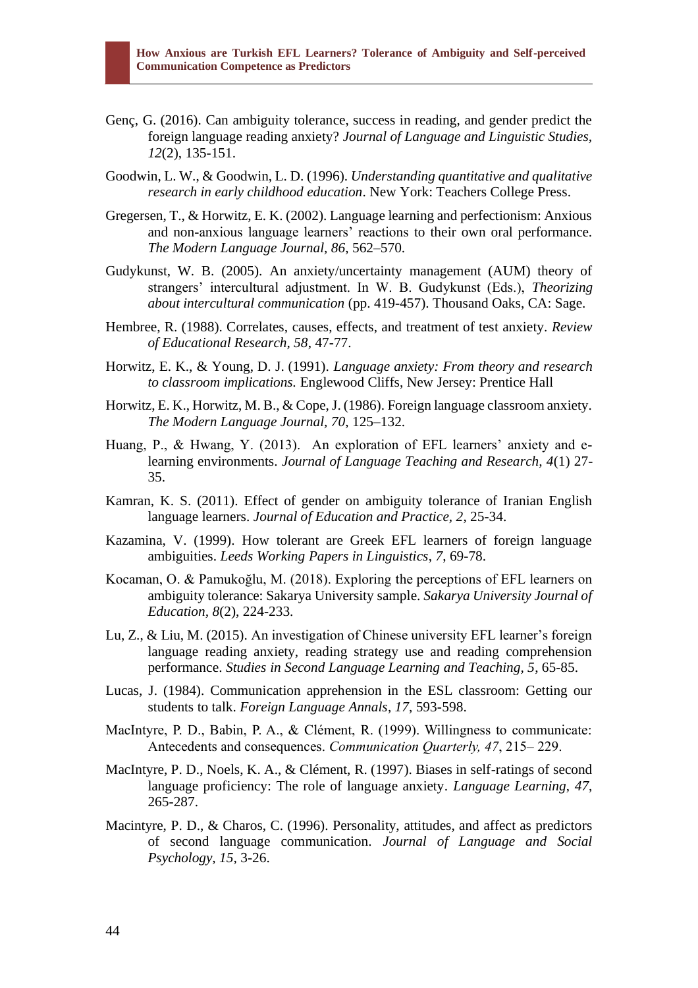- Genç, G. (2016). Can ambiguity tolerance, success in reading, and gender predict the foreign language reading anxiety? *Journal of Language and Linguistic Studies, 12*(2), 135-151.
- Goodwin, L. W., & Goodwin, L. D. (1996). *Understanding quantitative and qualitative research in early childhood education*. New York: Teachers College Press.
- Gregersen, T., & Horwitz, E. K. (2002). Language learning and perfectionism: Anxious and non-anxious language learners' reactions to their own oral performance. *The Modern Language Journal, 86*, 562–570.
- Gudykunst, W. B. (2005). An anxiety/uncertainty management (AUM) theory of strangers' intercultural adjustment. In W. B. Gudykunst (Eds.), *Theorizing about intercultural communication* (pp. 419-457). Thousand Oaks, CA: Sage.
- Hembree, R. (1988). Correlates, causes, effects, and treatment of test anxiety. *Review of Educational Research, 58*, 47-77.
- Horwitz, E. K., & Young, D. J. (1991). *Language anxiety: From theory and research to classroom implications.* Englewood Cliffs, New Jersey: Prentice Hall
- Horwitz, E. K., Horwitz, M. B., & Cope, J. (1986). Foreign language classroom anxiety. *The Modern Language Journal, 70*, 125–132.
- Huang, P., & Hwang, Y. (2013). An exploration of EFL learners' anxiety and elearning environments. *Journal of Language Teaching and Research, 4*(1) 27- 35.
- Kamran, K. S. (2011). Effect of gender on ambiguity tolerance of Iranian English language learners. *Journal of Education and Practice, 2*, 25-34.
- Kazamina, V. (1999). How tolerant are Greek EFL learners of foreign language ambiguities. *Leeds Working Papers in Linguistics*, *7*, 69-78.
- Kocaman, O. & Pamukoğlu, M. (2018). Exploring the perceptions of EFL learners on ambiguity tolerance: Sakarya University sample. *Sakarya University Journal of Education, 8*(2), 224-233.
- Lu, Z., & Liu, M. (2015). An investigation of Chinese university EFL learner's foreign language reading anxiety, reading strategy use and reading comprehension performance. *Studies in Second Language Learning and Teaching, 5*, 65-85.
- Lucas, J. (1984). Communication apprehension in the ESL classroom: Getting our students to talk. *Foreign Language Annals*, *17*, 593-598.
- MacIntyre, P. D., Babin, P. A., & Clément, R. (1999). Willingness to communicate: Antecedents and consequences. *Communication Quarterly, 47*, 215– 229.
- MacIntyre, P. D., Noels, K. A., & Clément, R. (1997). Biases in self-ratings of second language proficiency: The role of language anxiety. *Language Learning*, *47*, 265-287.
- Macintyre, P. D., & Charos, C. (1996). Personality, attitudes, and affect as predictors of second language communication. *Journal of Language and Social Psychology, 15,* 3-26.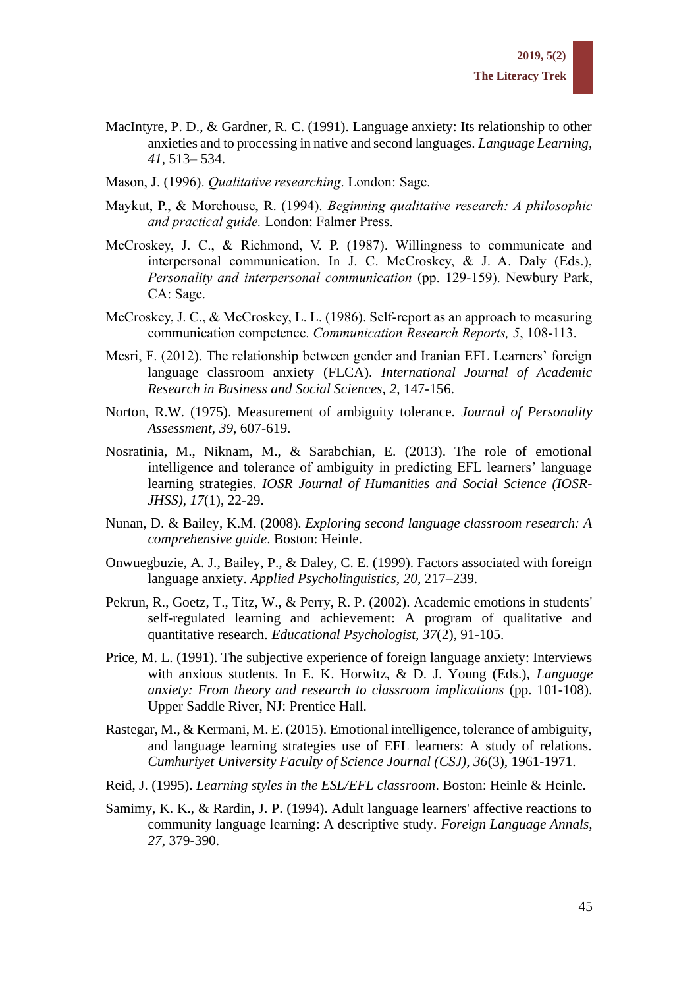- MacIntyre, P. D., & Gardner, R. C. (1991). Language anxiety: Its relationship to other anxieties and to processing in native and second languages. *Language Learning*, *41*, 513– 534.
- Mason, J. (1996). *Qualitative researching*. London: Sage.
- Maykut, P., & Morehouse, R. (1994). *Beginning qualitative research: A philosophic and practical guide.* London: Falmer Press.
- McCroskey, J. C., & Richmond, V. P. (1987). Willingness to communicate and interpersonal communication. In J. C. McCroskey, & J. A. Daly (Eds.), *Personality and interpersonal communication* (pp. 129-159). Newbury Park, CA: Sage.
- McCroskey, J. C., & McCroskey, L. L. (1986). Self-report as an approach to measuring communication competence. *Communication Research Reports, 5*, 108-113.
- Mesri, F. (2012). The relationship between gender and Iranian EFL Learners' foreign language classroom anxiety (FLCA)*. International Journal of Academic Research in Business and Social Sciences, 2*, 147-156.
- Norton, R.W. (1975). Measurement of ambiguity tolerance. *Journal of Personality Assessment, 39*, 607-619.
- Nosratinia, M., Niknam, M., & Sarabchian, E. (2013). The role of emotional intelligence and tolerance of ambiguity in predicting EFL learners' language learning strategies. *IOSR Journal of Humanities and Social Science (IOSR-JHSS), 17*(1), 22-29.
- Nunan, D. & Bailey, K.M. (2008). *Exploring second language classroom research: A comprehensive guide*. Boston: Heinle.
- Onwuegbuzie, A. J., Bailey, P., & Daley, C. E. (1999). Factors associated with foreign language anxiety. *Applied Psycholinguistics*, *20*, 217–239.
- Pekrun, R., Goetz, T., Titz, W., & Perry, R. P. (2002). Academic emotions in students' self-regulated learning and achievement: A program of qualitative and quantitative research. *Educational Psychologist, 37*(2), 91-105.
- Price, M. L. (1991). The subjective experience of foreign language anxiety: Interviews with anxious students. In E. K. Horwitz, & D. J. Young (Eds.), *Language anxiety: From theory and research to classroom implications* (pp. 101-108). Upper Saddle River, NJ: Prentice Hall.
- Rastegar, M., & Kermani, M. E. (2015). Emotional intelligence, tolerance of ambiguity, and language learning strategies use of EFL learners: A study of relations. *Cumhuriyet University Faculty of Science Journal (CSJ), 36*(3), 1961-1971.
- Reid, J. (1995). *Learning styles in the ESL/EFL classroom*. Boston: Heinle & Heinle.
- Samimy, K. K., & Rardin, J. P. (1994). Adult language learners' affective reactions to community language learning: A descriptive study. *Foreign Language Annals, 27*, 379-390.